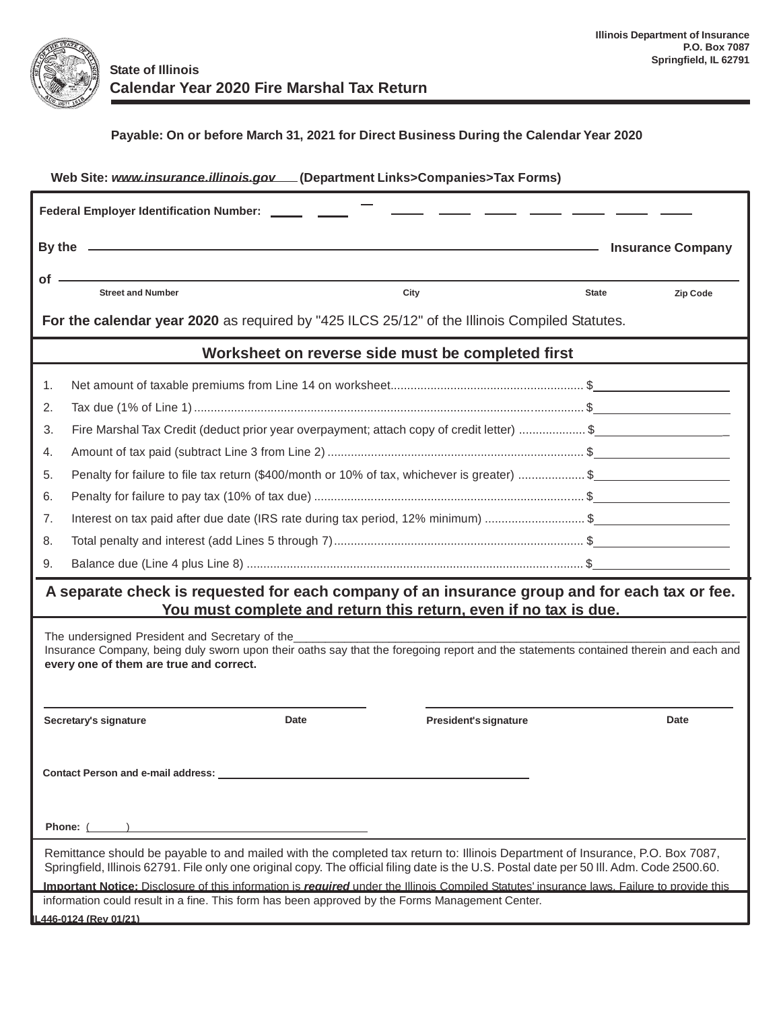

## **Payable: On or before March 31, 2021 for Direct Business During the Calendar Year 2020**

| Web Site: www.insurance.illinois.gov.[Department Links>Companies>Tax Forms)                                                                                                                                                                                                |                                                                                                                                                                                                                                      |                          |                       |              |          |  |  |  |  |
|----------------------------------------------------------------------------------------------------------------------------------------------------------------------------------------------------------------------------------------------------------------------------|--------------------------------------------------------------------------------------------------------------------------------------------------------------------------------------------------------------------------------------|--------------------------|-----------------------|--------------|----------|--|--|--|--|
| Federal Employer Identification Number: ______ _____                                                                                                                                                                                                                       |                                                                                                                                                                                                                                      |                          |                       |              |          |  |  |  |  |
|                                                                                                                                                                                                                                                                            | By the <u>experimental control and the set of the set of the set of the set of the set of the set of the set of the set of the set of the set of the set of the set of the set of the set of the set of the set of the set of th</u> | <b>Insurance Company</b> |                       |              |          |  |  |  |  |
| $of -$                                                                                                                                                                                                                                                                     |                                                                                                                                                                                                                                      |                          |                       |              |          |  |  |  |  |
|                                                                                                                                                                                                                                                                            | <b>Street and Number</b>                                                                                                                                                                                                             | City                     |                       | <b>State</b> | Zip Code |  |  |  |  |
| For the calendar year 2020 as required by "425 ILCS 25/12" of the Illinois Compiled Statutes.                                                                                                                                                                              |                                                                                                                                                                                                                                      |                          |                       |              |          |  |  |  |  |
| Worksheet on reverse side must be completed first                                                                                                                                                                                                                          |                                                                                                                                                                                                                                      |                          |                       |              |          |  |  |  |  |
| 1.                                                                                                                                                                                                                                                                         |                                                                                                                                                                                                                                      |                          |                       |              |          |  |  |  |  |
| 2.                                                                                                                                                                                                                                                                         |                                                                                                                                                                                                                                      |                          |                       |              |          |  |  |  |  |
| 3.                                                                                                                                                                                                                                                                         | Fire Marshal Tax Credit (deduct prior year overpayment; attach copy of credit letter) \$                                                                                                                                             |                          |                       |              |          |  |  |  |  |
| 4.                                                                                                                                                                                                                                                                         |                                                                                                                                                                                                                                      |                          |                       |              |          |  |  |  |  |
| 5.                                                                                                                                                                                                                                                                         | Penalty for failure to file tax return (\$400/month or 10% of tax, whichever is greater) \$                                                                                                                                          |                          |                       |              |          |  |  |  |  |
| 6.                                                                                                                                                                                                                                                                         |                                                                                                                                                                                                                                      |                          |                       |              |          |  |  |  |  |
| 7.                                                                                                                                                                                                                                                                         | Interest on tax paid after due date (IRS rate during tax period, 12% minimum) \$                                                                                                                                                     |                          |                       |              |          |  |  |  |  |
| 8.                                                                                                                                                                                                                                                                         |                                                                                                                                                                                                                                      |                          |                       |              |          |  |  |  |  |
| 9.                                                                                                                                                                                                                                                                         |                                                                                                                                                                                                                                      |                          |                       |              |          |  |  |  |  |
| A separate check is requested for each company of an insurance group and for each tax or fee.                                                                                                                                                                              |                                                                                                                                                                                                                                      |                          |                       |              |          |  |  |  |  |
| You must complete and return this return, even if no tax is due.                                                                                                                                                                                                           |                                                                                                                                                                                                                                      |                          |                       |              |          |  |  |  |  |
| The undersigned President and Secretary of the                                                                                                                                                                                                                             |                                                                                                                                                                                                                                      |                          |                       |              |          |  |  |  |  |
| Insurance Company, being duly sworn upon their oaths say that the foregoing report and the statements contained therein and each and<br>every one of them are true and correct.                                                                                            |                                                                                                                                                                                                                                      |                          |                       |              |          |  |  |  |  |
|                                                                                                                                                                                                                                                                            |                                                                                                                                                                                                                                      |                          |                       |              |          |  |  |  |  |
|                                                                                                                                                                                                                                                                            | Secretary's signature                                                                                                                                                                                                                | Date                     | President's signature |              | Date     |  |  |  |  |
|                                                                                                                                                                                                                                                                            |                                                                                                                                                                                                                                      |                          |                       |              |          |  |  |  |  |
|                                                                                                                                                                                                                                                                            |                                                                                                                                                                                                                                      |                          |                       |              |          |  |  |  |  |
| Contact Person and e-mail address: _                                                                                                                                                                                                                                       |                                                                                                                                                                                                                                      |                          |                       |              |          |  |  |  |  |
|                                                                                                                                                                                                                                                                            |                                                                                                                                                                                                                                      |                          |                       |              |          |  |  |  |  |
| Phone: (                                                                                                                                                                                                                                                                   |                                                                                                                                                                                                                                      |                          |                       |              |          |  |  |  |  |
| Remittance should be payable to and mailed with the completed tax return to: Illinois Department of Insurance, P.O. Box 7087,<br>Springfield, Illinois 62791. File only one original copy. The official filing date is the U.S. Postal date per 50 III. Adm. Code 2500.60. |                                                                                                                                                                                                                                      |                          |                       |              |          |  |  |  |  |
| Important Notice: Disclosure of this information is required under the Illinois Compiled Statutes' insurance laws. Failure to provide this                                                                                                                                 |                                                                                                                                                                                                                                      |                          |                       |              |          |  |  |  |  |
|                                                                                                                                                                                                                                                                            | information could result in a fine. This form has been approved by the Forms Management Center.                                                                                                                                      |                          |                       |              |          |  |  |  |  |
|                                                                                                                                                                                                                                                                            | L446-0124 (Rev 01/21)                                                                                                                                                                                                                |                          |                       |              |          |  |  |  |  |